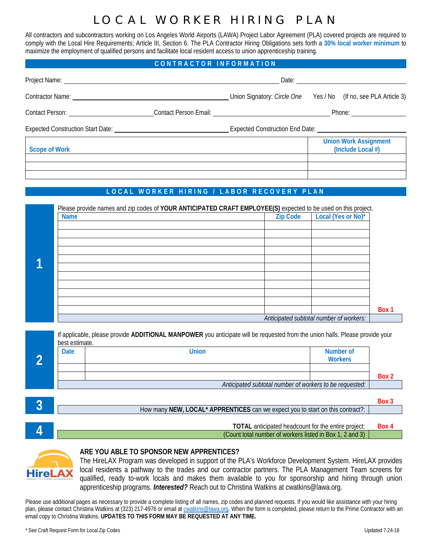# LOCAL WORKER HIRING PLAN

All contractors and subcontractors working on Los Angeles World Airports (LAWA) Project Labor Agreement (PLA) covered projects are required to comply with the Local Hire Requirements; Article III, Section 6. The PLA Contractor Hiring Obligations sets forth a **30% local worker minimum** to maximize the employment of qualified persons and facilitate local resident access to union apprenticeship training.

### **CONTRACTOR INFORMATION**

|                                         | Union Signatory: Circle One Yes / No (If no, see PLA Article 3) |  |  |                                                   |  |  |  |
|-----------------------------------------|-----------------------------------------------------------------|--|--|---------------------------------------------------|--|--|--|
| Contact Person: _______________________ |                                                                 |  |  |                                                   |  |  |  |
|                                         | Expected Construction End Date: Next Assembly                   |  |  |                                                   |  |  |  |
| <b>Scope of Work</b>                    |                                                                 |  |  | <b>Union Work Assignment</b><br>(Include Local #) |  |  |  |
|                                         |                                                                 |  |  |                                                   |  |  |  |

### **LOCAL WORKER HIRING / LABOR RECOVERY PLAN**

| Please provide names and zip codes of YOUR ANTICIPATED CRAFT EMPLOYEE(S) expected to be used on this project. |                 |                                         |       |
|---------------------------------------------------------------------------------------------------------------|-----------------|-----------------------------------------|-------|
| <b>Name</b>                                                                                                   | <b>Zip Code</b> | Local (Yes or No)*                      |       |
|                                                                                                               |                 |                                         |       |
|                                                                                                               |                 |                                         |       |
|                                                                                                               |                 |                                         |       |
|                                                                                                               |                 |                                         |       |
|                                                                                                               |                 |                                         |       |
|                                                                                                               |                 |                                         |       |
|                                                                                                               |                 |                                         |       |
|                                                                                                               |                 |                                         |       |
|                                                                                                               |                 |                                         | Box 1 |
|                                                                                                               |                 |                                         |       |
|                                                                                                               |                 | Anticipated subtotal number of workers: |       |

| best estimate. | If applicable, please provide ADDITIONAL MANPOWER you anticipate will be requested from the union halls. Please provide your |       |
|----------------|------------------------------------------------------------------------------------------------------------------------------|-------|
| <b>Date</b>    | Number of<br>Union<br><b>Workers</b>                                                                                         |       |
|                |                                                                                                                              | Box 2 |
|                | Anticipated subtotal number of workers to be requested:                                                                      |       |

|                                                                                | Box 3 |
|--------------------------------------------------------------------------------|-------|
| How many NEW, LOCAL* APPRENTICES can we expect you to start on this contract?: |       |
|                                                                                |       |
|                                                                                |       |
| <b>TOTAL</b> anticipated headcount for the entire project:                     | Box 4 |
| (Count total number of workers listed in Box 1, 2 and 3)                       |       |



### **ARE YOU ABLE TO SPONSOR NEW APPRENTICES?**

The HireLAX Program was developed in support of the PLA's Workforce Development System. HireLAX provides local residents a pathway to the trades and our contractor partners. The PLA Management Team screens for qualified, ready to-work locals and makes them available to you for sponsorship and hiring through union apprenticeship programs. *Interested?* Reach out to Christina Watkins at cwatkins@lawa.org.

Please use additional pages as necessary to provide a complete listing of all names, zip codes and planned requests. If you would like assistance with your hiring plan, please contact Christina Watkins at (323) 217-4976 or email a[t cwatkins@lawa.org.](mailto:cwatkins@lawa.org) When the form is completed, please return to the Prime Contractor with an email copy to Christina Watkins. UPDATES TO THIS FORM MAY BE REQUESTED AT ANY TIME.